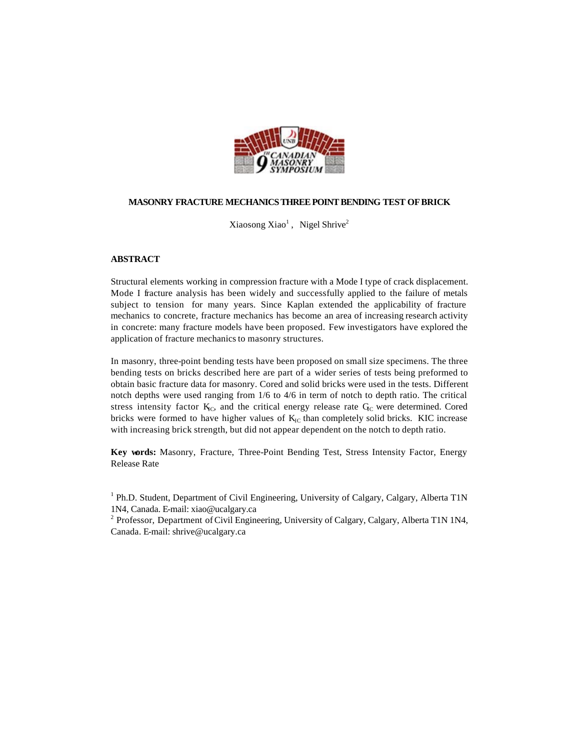

## **MASONRY FRACTURE MECHANICS THREE POINT BENDING TEST OFBRICK**

 $Xi$ osong Xiao<sup>1</sup>, Nigel Shrive<sup>2</sup>

### **ABSTRACT**

Structural elements working in compression fracture with a Mode I type of crack displacement. Mode I fracture analysis has been widely and successfully applied to the failure of metals subject to tension for many years. Since Kaplan extended the applicability of fracture mechanics to concrete, fracture mechanics has become an area of increasing research activity in concrete: many fracture models have been proposed. Few investigators have explored the application of fracture mechanics to masonry structures.

In masonry, three-point bending tests have been proposed on small size specimens. The three bending tests on bricks described here are part of a wider series of tests being preformed to obtain basic fracture data for masonry. Cored and solid bricks were used in the tests. Different notch depths were used ranging from 1/6 to 4/6 in term of notch to depth ratio. The critical stress intensity factor  $K_{IC}$ , and the critical energy release rate  $G_{IC}$  were determined. Cored bricks were formed to have higher values of  $K_{IC}$  than completely solid bricks. KIC increase with increasing brick strength, but did not appear dependent on the notch to depth ratio.

**Key words:** Masonry, Fracture, Three-Point Bending Test, Stress Intensity Factor, Energy Release Rate

<sup>2</sup> Professor, Department of Civil Engineering, University of Calgary, Calgary, Alberta T1N 1N4, Canada. E-mail: shrive@ucalgary.ca

<sup>&</sup>lt;sup>1</sup> Ph.D. Student, Department of Civil Engineering, University of Calgary, Calgary, Alberta T1N 1N4, Canada. E-mail: xiao@ucalgary.ca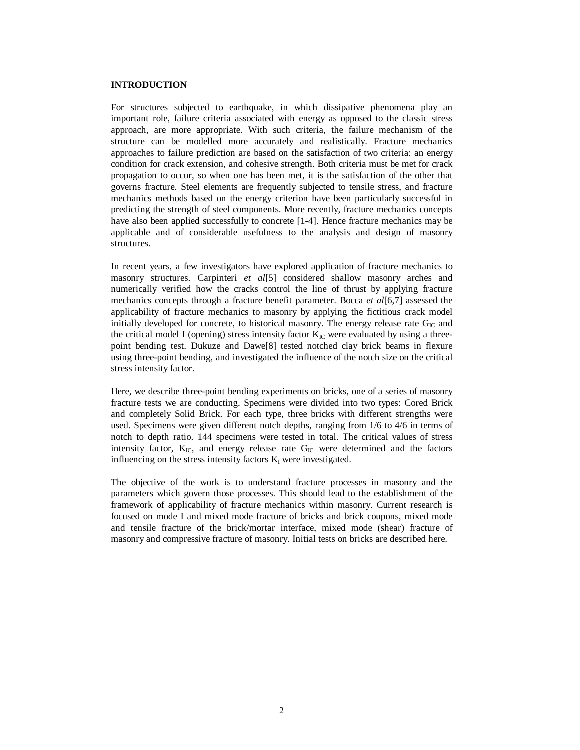#### **INTRODUCTION**

For structures subjected to earthquake, in which dissipative phenomena play an important role, failure criteria associated with energy as opposed to the classic stress approach, are more appropriate. With such criteria, the failure mechanism of the structure can be modelled more accurately and realistically. Fracture mechanics approaches to failure prediction are based on the satisfaction of two criteria: an energy condition for crack extension, and cohesive strength. Both criteria must be met for crack propagation to occur, so when one has been met, it is the satisfaction of the other that governs fracture. Steel elements are frequently subjected to tensile stress, and fracture mechanics methods based on the energy criterion have been particularly successful in predicting the strength of steel components. More recently, fracture mechanics concepts have also been applied successfully to concrete [1-4]. Hence fracture mechanics may be applicable and of considerable usefulness to the analysis and design of masonry structures.

In recent years, a few investigators have explored application of fracture mechanics to masonry structures. Carpinteri *et al*[5] considered shallow masonry arches and numerically verified how the cracks control the line of thrust by applying fracture mechanics concepts through a fracture benefit parameter. Bocca *et al*[6,7] assessed the applicability of fracture mechanics to masonry by applying the fictitious crack model initially developed for concrete, to historical masonry. The energy release rate  $G_{IC}$  and the critical model I (opening) stress intensity factor  $K_{IC}$  were evaluated by using a threepoint bending test. Dukuze and Dawe[8] tested notched clay brick beams in flexure using three-point bending, and investigated the influence of the notch size on the critical stress intensity factor.

Here, we describe three-point bending experiments on bricks, one of a series of masonry fracture tests we are conducting. Specimens were divided into two types: Cored Brick and completely Solid Brick. For each type, three bricks with different strengths were used. Specimens were given different notch depths, ranging from 1/6 to 4/6 in terms of notch to depth ratio. 144 specimens were tested in total. The critical values of stress intensity factor,  $K_{IC}$ , and energy release rate  $G_{IC}$  were determined and the factors influencing on the stress intensity factors  $K_I$  were investigated.

The objective of the work is to understand fracture processes in masonry and the parameters which govern those processes. This should lead to the establishment of the framework of applicability of fracture mechanics within masonry. Current research is focused on mode I and mixed mode fracture of bricks and brick coupons, mixed mode and tensile fracture of the brick/mortar interface, mixed mode (shear) fracture of masonry and compressive fracture of masonry. Initial tests on bricks are described here.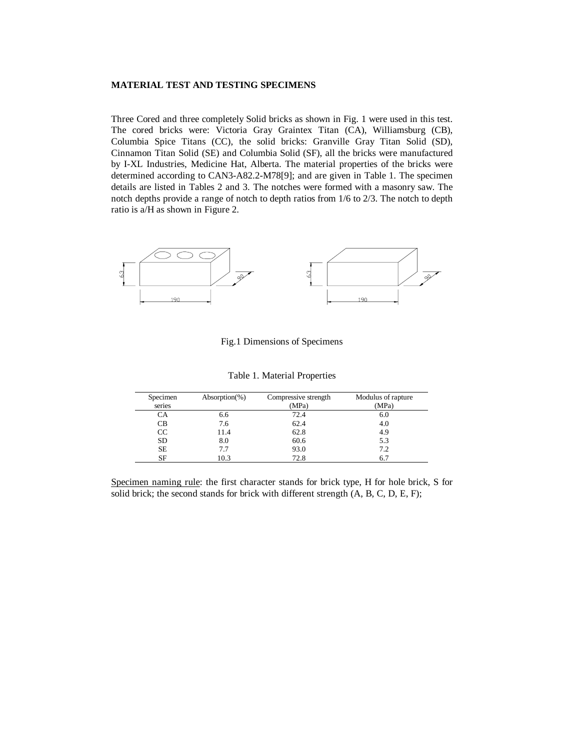## **MATERIAL TEST AND TESTING SPECIMENS**

Three Cored and three completely Solid bricks as shown in Fig. 1 were used in this test. The cored bricks were: Victoria Gray Graintex Titan (CA), Williamsburg (CB), Columbia Spice Titans (CC), the solid bricks: Granville Gray Titan Solid (SD), Cinnamon Titan Solid (SE) and Columbia Solid (SF), all the bricks were manufactured by I-XL Industries, Medicine Hat, Alberta. The material properties of the bricks were determined according to CAN3-A82.2-M78[9]; and are given in Table 1. The specimen details are listed in Tables 2 and 3. The notches were formed with a masonry saw. The notch depths provide a range of notch to depth ratios from 1/6 to 2/3. The notch to depth ratio is a/H as shown in Figure 2.



Fig.1 Dimensions of Specimens

Table 1. Material Properties

| Specimen<br>series | $Absorption(\%)$ | Compressive strength<br>(MPa) | Modulus of rapture<br>(MPa) |
|--------------------|------------------|-------------------------------|-----------------------------|
| СA                 | 6.6              | 72.4                          | 6.0                         |
| CВ                 | 7.6              | 62.4                          | 4.0                         |
| CC                 | 11.4             | 62.8                          | 4.9                         |
| <b>SD</b>          | 8.0              | 60.6                          | 5.3                         |
| <b>SE</b>          | 7.7              | 93.0                          | 7.2                         |
| SF                 | 10.3             | 72.8                          | 6.7                         |

Specimen naming rule: the first character stands for brick type, H for hole brick, S for solid brick; the second stands for brick with different strength (A, B, C, D, E, F);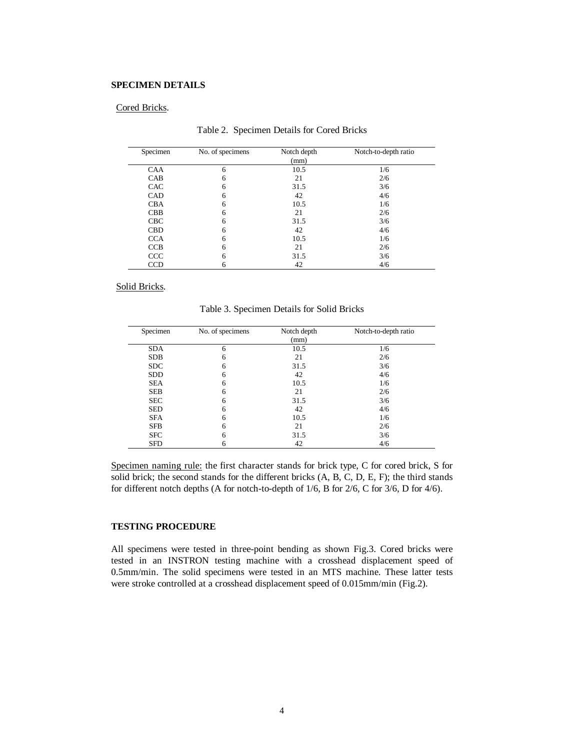## **SPECIMEN DETAILS**

### Cored Bricks.

| Specimen   | No. of specimens | Notch depth<br>(mm) | Notch-to-depth ratio |  |
|------------|------------------|---------------------|----------------------|--|
| CAA        | 6                | 10.5                | 1/6                  |  |
| CAB        | 6                | 21                  | 2/6                  |  |
| CAC        | 6                | 31.5                | 3/6                  |  |
| CAD        | 6                | 42                  | 4/6                  |  |
| <b>CBA</b> | 6                | 10.5                | 1/6                  |  |
| <b>CBB</b> | 6                | 21                  | 2/6                  |  |
| <b>CBC</b> | 6                | 31.5                | 3/6                  |  |
| <b>CBD</b> | 6                | 42                  | 4/6                  |  |
| <b>CCA</b> | 6                | 10.5                | 1/6                  |  |
| <b>CCB</b> | 6                | 21                  | 2/6                  |  |
| ccc        | 6                | 31.5                | 3/6                  |  |
| <b>CCD</b> | 6                | 42                  | 4/6                  |  |

Table 2. Specimen Details for Cored Bricks

Solid Bricks.

Table 3. Specimen Details for Solid Bricks

| Specimen   | No. of specimens | Notch depth<br>(mm) | Notch-to-depth ratio |
|------------|------------------|---------------------|----------------------|
| <b>SDA</b> | 6                | 10.5                | 1/6                  |
| <b>SDB</b> | 6                | 21                  | 2/6                  |
| <b>SDC</b> | 6                | 31.5                | 3/6                  |
| <b>SDD</b> | 6                | 42                  | 4/6                  |
| <b>SEA</b> | 6                | 10.5                | 1/6                  |
| <b>SEB</b> | 6                | 21                  | 2/6                  |
| <b>SEC</b> | 6                | 31.5                | 3/6                  |
| <b>SED</b> | 6                | 42                  | 4/6                  |
| <b>SFA</b> | 6                | 10.5                | 1/6                  |
| <b>SFB</b> | 6                | 21                  | 2/6                  |
| <b>SFC</b> | 6                | 31.5                | 3/6                  |
| <b>SFD</b> | 6                | 42                  | 4/6                  |

Specimen naming rule: the first character stands for brick type, C for cored brick, S for solid brick; the second stands for the different bricks (A, B, C, D, E, F); the third stands for different notch depths (A for notch-to-depth of 1/6, B for 2/6, C for 3/6, D for 4/6).

# **TESTING PROCEDURE**

All specimens were tested in three-point bending as shown Fig.3. Cored bricks were tested in an INSTRON testing machine with a crosshead displacement speed of 0.5mm/min. The solid specimens were tested in an MTS machine. These latter tests were stroke controlled at a crosshead displacement speed of 0.015mm/min (Fig.2).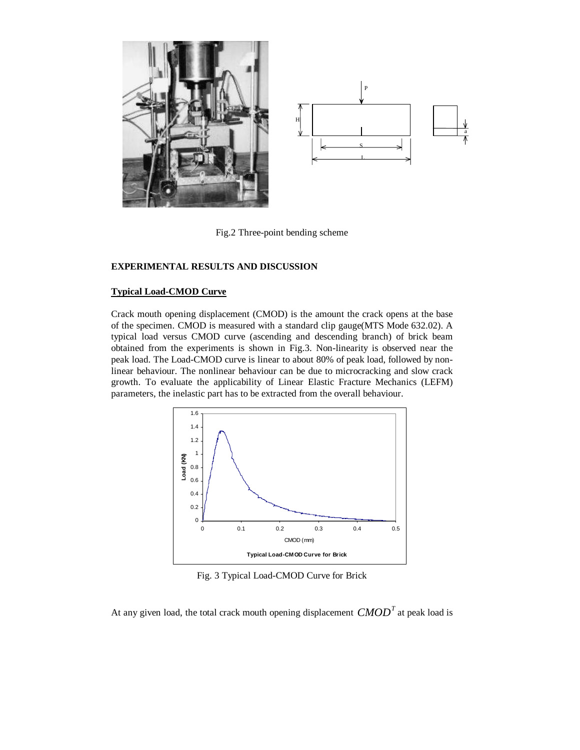



Fig.2 Three-point bending scheme

# **EXPERIMENTAL RESULTS AND DISCUSSION**

# **Typical Load-CMOD Curve**

Crack mouth opening displacement (CMOD) is the amount the crack opens at the base of the specimen. CMOD is measured with a standard clip gauge(MTS Mode 632.02). A typical load versus CMOD curve (ascending and descending branch) of brick beam obtained from the experiments is shown in Fig.3. Non-linearity is observed near the peak load. The Load-CMOD curve is linear to about 80% of peak load, followed by nonlinear behaviour. The nonlinear behaviour can be due to microcracking and slow crack growth. To evaluate the applicability of Linear Elastic Fracture Mechanics (LEFM) parameters, the inelastic part has to be extracted from the overall behaviour.



Fig. 3 Typical Load-CMOD Curve for Brick

At any given load, the total crack mouth opening displacement  $\mathbf{CMOD}^T$  at peak load is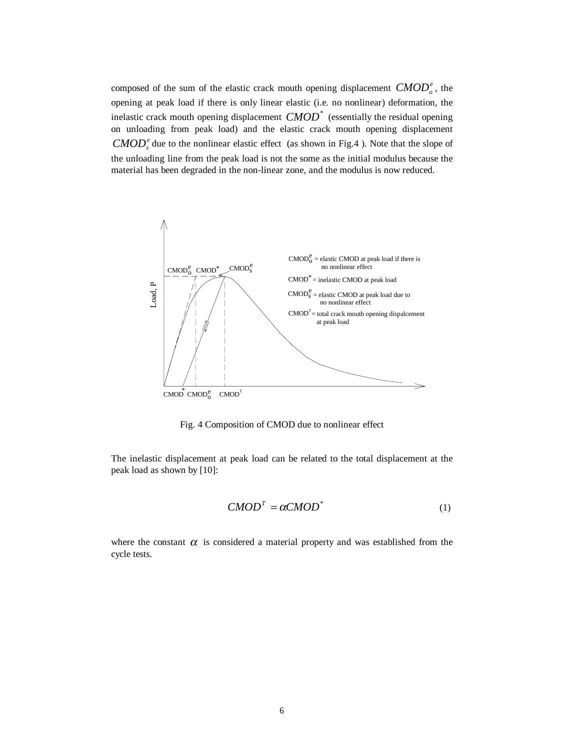composed of the sum of the elastic crack mouth opening displacement  $\mathcal{CMOD}_{o}^{e}$ , the opening at peak load if there is only linear elastic (i.e. no nonlinear) deformation, the inelastic crack mouth opening displacement  $\mathit{CMOD}^*$  (essentially the residual opening on unloading from peak load) and the elastic crack mouth opening displacement  $\mathcal{C}MOD_{s}^{e}$  due to the nonlinear elastic effect (as shown in Fig.4). Note that the slope of the unloading line from the peak load is not the some as the initial modulus because the material has been degraded in the non-linear zone, and the modulus is now reduced.



Fig. 4 Composition of CMOD due to nonlinear effect

The inelastic displacement at peak load can be related to the total displacement at the peak load as shown by [10]:

$$
CMODT = \alpha CMOD*
$$
 (1)

where the constant  $\alpha$  is considered a material property and was established from the cycle tests.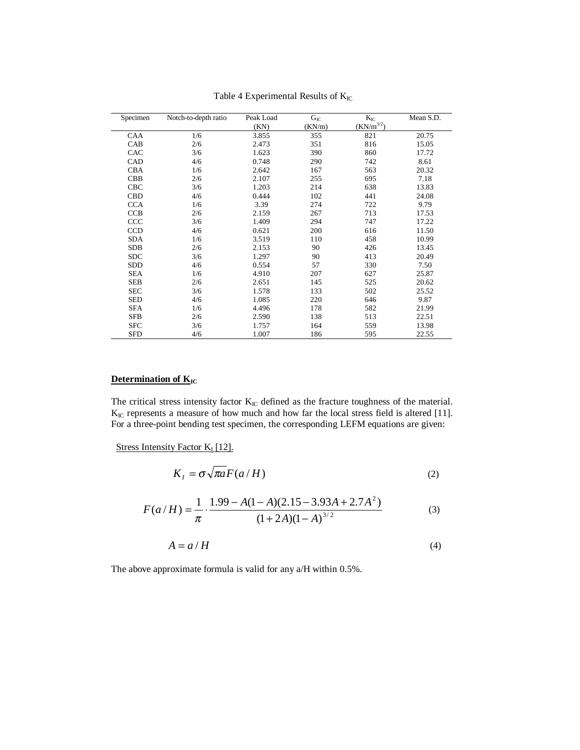| Specimen   | Notch-to-depth ratio | Peak Load | $\mathrm{G}_{\mathrm{IC}}$ | $\rm K_{IC}$   | Mean S.D. |
|------------|----------------------|-----------|----------------------------|----------------|-----------|
|            |                      | (KN)      | (KN/m)                     | $(KN/m^{3/2})$ |           |
| CAA        | 1/6                  | 3.855     | 355                        | 821            | 20.75     |
| CAB        | 2/6                  | 2.473     | 351                        | 816            | 15.05     |
| CAC        | 3/6                  | 1.623     | 390                        | 860            | 17.72     |
| CAD        | 4/6                  | 0.748     | 290                        | 742            | 8.61      |
| CBA        | 1/6                  | 2.642     | 167                        | 563            | 20.32     |
| CBB        | 2/6                  | 2.107     | 255                        | 695            | 7.18      |
| <b>CBC</b> | 3/6                  | 1.203     | 214                        | 638            | 13.83     |
| <b>CBD</b> | 4/6                  | 0.444     | 102                        | 441            | 24.08     |
| <b>CCA</b> | 1/6                  | 3.39      | 274                        | 722            | 9.79      |
| <b>CCB</b> | 2/6                  | 2.159     | 267                        | 713            | 17.53     |
| CCC        | 3/6                  | 1.409     | 294                        | 747            | 17.22     |
| <b>CCD</b> | 4/6                  | 0.621     | 200                        | 616            | 11.50     |
| <b>SDA</b> | 1/6                  | 3.519     | 110                        | 458            | 10.99     |
| <b>SDB</b> | 2/6                  | 2.153     | 90                         | 426            | 13.45     |
| <b>SDC</b> | 3/6                  | 1.297     | 90                         | 413            | 20.49     |
| SDD        | 4/6                  | 0.554     | 57                         | 330            | 7.50      |
| <b>SEA</b> | 1/6                  | 4.910     | 207                        | 627            | 25.87     |
| <b>SEB</b> | 2/6                  | 2.651     | 145                        | 525            | 20.62     |
| <b>SEC</b> | 3/6                  | 1.578     | 133                        | 502            | 25.52     |
| <b>SED</b> | 4/6                  | 1.085     | 220                        | 646            | 9.87      |
| <b>SFA</b> | 1/6                  | 4.496     | 178                        | 582            | 21.99     |
| <b>SFB</b> | 2/6                  | 2.590     | 138                        | 513            | 22.51     |
| <b>SFC</b> | 3/6                  | 1.757     | 164                        | 559            | 13.98     |
| <b>SFD</b> | 4/6                  | 1.007     | 186                        | 595            | 22.55     |

Table 4 Experimental Results of  $K_{IC}$ 

# **Determination of K**<sub>IC</sub>

The critical stress intensity factor  $K_{IC}$  defined as the fracture toughness of the material.  $K_{IC}$  represents a measure of how much and how far the local stress field is altered [11]. For a three-point bending test specimen, the corresponding LEFM equations are given:

Stress Intensity Factor  $K_l$  [12].

$$
K_I = \sigma \sqrt{\pi a} F(a/H)
$$
 (2)

$$
F(a/H) = \frac{1}{\pi} \cdot \frac{1.99 - A(1-A)(2.15 - 3.93A + 2.7A^{2})}{(1+2A)(1-A)^{3/2}}
$$
(3)

$$
A = a/H \tag{4}
$$

The above approximate formula is valid for any a/H within 0.5%.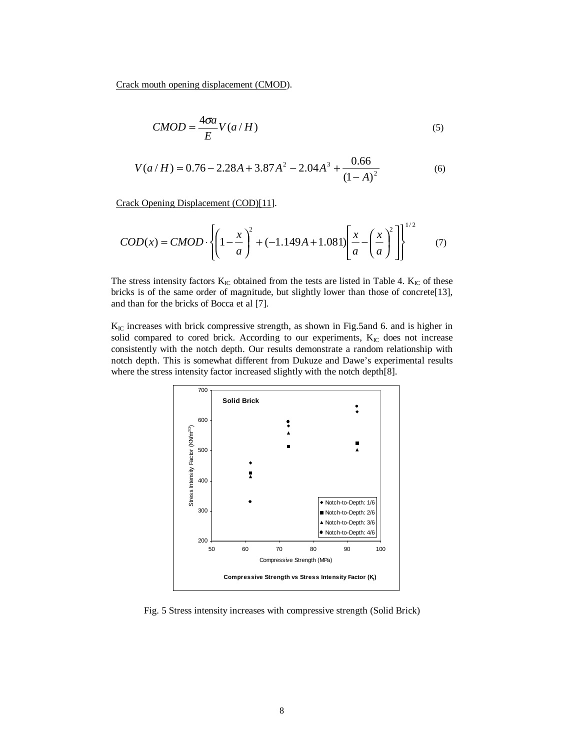Crack mouth opening displacement (CMOD).

$$
CMOD = \frac{4\sigma a}{E} V(a/H)
$$
 (5)

$$
V(a/H) = 0.76 - 2.28A + 3.87A^{2} - 2.04A^{3} + \frac{0.66}{(1-A)^{2}}
$$
 (6)

Crack Opening Displacement (COD)[11].

$$
COD(x) = CMOD \cdot \left\{ \left( 1 - \frac{x}{a} \right)^2 + (-1.149A + 1.081) \left[ \frac{x}{a} - \left( \frac{x}{a} \right)^2 \right] \right\}^{1/2} \tag{7}
$$

The stress intensity factors  $K_{IC}$  obtained from the tests are listed in Table 4.  $K_{IC}$  of these bricks is of the same order of magnitude, but slightly lower than those of concrete[13], and than for the bricks of Bocca et al [7].

 $K_{IC}$  increases with brick compressive strength, as shown in Fig.5and 6. and is higher in solid compared to cored brick. According to our experiments,  $K_{IC}$  does not increase consistently with the notch depth. Our results demonstrate a random relationship with notch depth. This is somewhat different from Dukuze and Dawe's experimental results where the stress intensity factor increased slightly with the notch depth[8].



Fig. 5 Stress intensity increases with compressive strength (Solid Brick)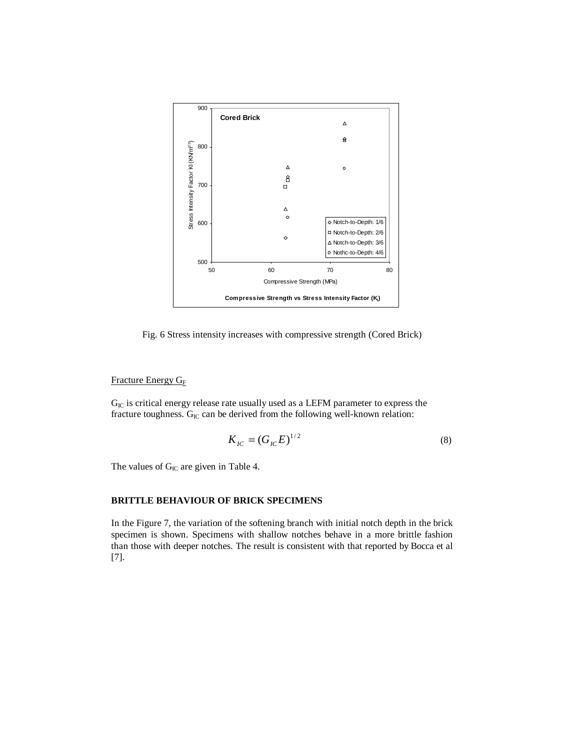

Fig. 6 Stress intensity increases with compressive strength (Cored Brick)

Fracture Energy G<sub>F</sub>

 $G_{IC}$  is critical energy release rate usually used as a LEFM parameter to express the fracture toughness.  $G_{IC}$  can be derived from the following well-known relation:

$$
K_{IC} = (G_{IC} E)^{1/2}
$$
 (8)

The values of  $G_{IC}$  are given in Table 4.

# **BRITTLE BEHAVIOUR OF BRICK SPECIMENS**

In the Figure 7, the variation of the softening branch with initial notch depth in the brick specimen is shown. Specimens with shallow notches behave in a more brittle fashion than those with deeper notches. The result is consistent with that reported by Bocca et al [7].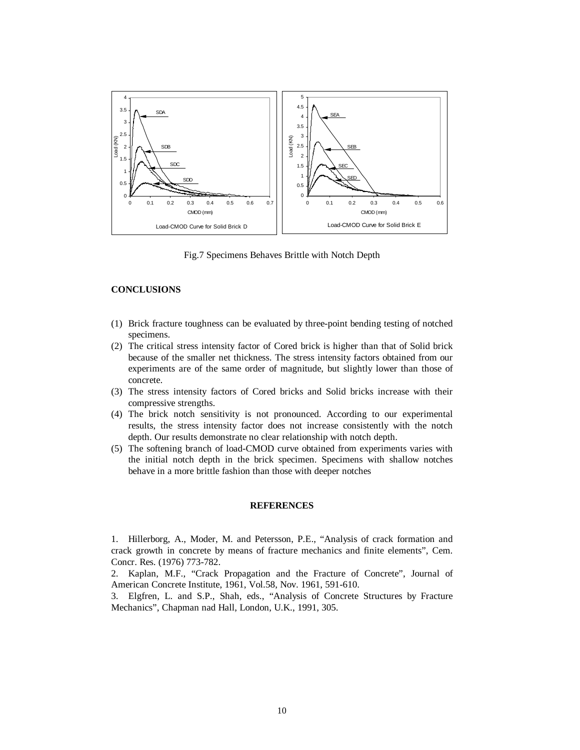

Fig.7 Specimens Behaves Brittle with Notch Depth

#### **CONCLUSIONS**

- (1) Brick fracture toughness can be evaluated by three-point bending testing of notched specimens.
- (2) The critical stress intensity factor of Cored brick is higher than that of Solid brick because of the smaller net thickness. The stress intensity factors obtained from our experiments are of the same order of magnitude, but slightly lower than those of concrete.
- (3) The stress intensity factors of Cored bricks and Solid bricks increase with their compressive strengths.
- (4) The brick notch sensitivity is not pronounced. According to our experimental results, the stress intensity factor does not increase consistently with the notch depth. Our results demonstrate no clear relationship with notch depth.
- (5) The softening branch of load-CMOD curve obtained from experiments varies with the initial notch depth in the brick specimen. Specimens with shallow notches behave in a more brittle fashion than those with deeper notches

## **REFERENCES**

1. Hillerborg, A., Moder, M. and Petersson, P.E., "Analysis of crack formation and crack growth in concrete by means of fracture mechanics and finite elements", Cem. Concr. Res. (1976) 773-782.

2. Kaplan, M.F., "Crack Propagation and the Fracture of Concrete", Journal of American Concrete Institute, 1961, Vol.58, Nov. 1961, 591-610.

3. Elgfren, L. and S.P., Shah, eds., "Analysis of Concrete Structures by Fracture Mechanics", Chapman nad Hall, London, U.K., 1991, 305.